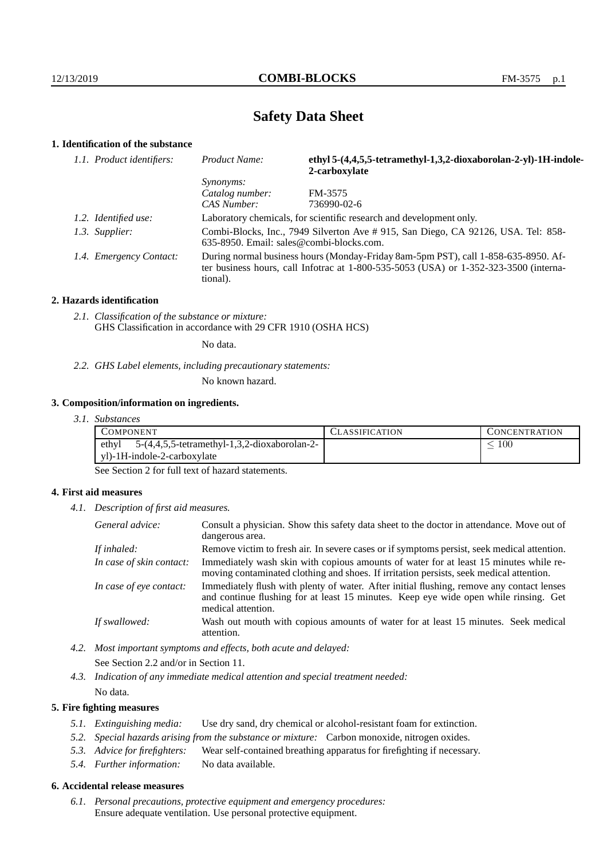# **Safety Data Sheet**

## **1. Identification of the substance**

| 1.1. Product identifiers: | Product Name:                                                                                                                                                                           | ethyl 5-(4,4,5,5-tetramethyl-1,3,2-dioxaborolan-2-yl)-1H-indole-<br>2-carboxylate |
|---------------------------|-----------------------------------------------------------------------------------------------------------------------------------------------------------------------------------------|-----------------------------------------------------------------------------------|
|                           | <i>Synonyms:</i>                                                                                                                                                                        |                                                                                   |
|                           | Catalog number:                                                                                                                                                                         | FM-3575                                                                           |
|                           | CAS Number:                                                                                                                                                                             | 736990-02-6                                                                       |
| 1.2. Identified use:      | Laboratory chemicals, for scientific research and development only.                                                                                                                     |                                                                                   |
| 1.3. Supplier:            | Combi-Blocks, Inc., 7949 Silverton Ave # 915, San Diego, CA 92126, USA. Tel: 858-<br>$635-8950$ . Email: sales@combi-blocks.com.                                                        |                                                                                   |
| 1.4. Emergency Contact:   | During normal business hours (Monday-Friday 8am-5pm PST), call 1-858-635-8950. Af-<br>ter business hours, call Infotrac at 1-800-535-5053 (USA) or 1-352-323-3500 (interna-<br>tional). |                                                                                   |

#### **2. Hazards identification**

*2.1. Classification of the substance or mixture:* GHS Classification in accordance with 29 CFR 1910 (OSHA HCS)

No data.

*2.2. GHS Label elements, including precautionary statements:*

No known hazard.

## **3. Composition/information on ingredients.**

*3.1. Substances*

| COMPONENT                                               | LASSIFICATION | L'ONCENTRATION |
|---------------------------------------------------------|---------------|----------------|
| ethyl<br>$5-(4,4,5,5-tetramethyl-1,3,2-dioxaborolan-2-$ |               | 100            |
| yl)-1H-indole-2-carboxylate                             |               |                |

See Section 2 for full text of hazard statements.

## **4. First aid measures**

*4.1. Description of first aid measures.*

| General advice:          | Consult a physician. Show this safety data sheet to the doctor in attendance. Move out of<br>dangerous area.                                                                                            |
|--------------------------|---------------------------------------------------------------------------------------------------------------------------------------------------------------------------------------------------------|
| If inhaled:              | Remove victim to fresh air. In severe cases or if symptoms persist, seek medical attention.                                                                                                             |
| In case of skin contact: | Immediately wash skin with copious amounts of water for at least 15 minutes while re-<br>moving contaminated clothing and shoes. If irritation persists, seek medical attention.                        |
| In case of eye contact:  | Immediately flush with plenty of water. After initial flushing, remove any contact lenses<br>and continue flushing for at least 15 minutes. Keep eye wide open while rinsing. Get<br>medical attention. |
| If swallowed:            | Wash out mouth with copious amounts of water for at least 15 minutes. Seek medical<br>attention.                                                                                                        |

*4.2. Most important symptoms and effects, both acute and delayed:* See Section 2.2 and/or in Section 11.

*4.3. Indication of any immediate medical attention and special treatment needed:* No data.

## **5. Fire fighting measures**

- *5.1. Extinguishing media:* Use dry sand, dry chemical or alcohol-resistant foam for extinction.
- *5.2. Special hazards arising from the substance or mixture:* Carbon monoxide, nitrogen oxides.
- *5.3. Advice for firefighters:* Wear self-contained breathing apparatus for firefighting if necessary.
- *5.4. Further information:* No data available.

## **6. Accidental release measures**

*6.1. Personal precautions, protective equipment and emergency procedures:* Ensure adequate ventilation. Use personal protective equipment.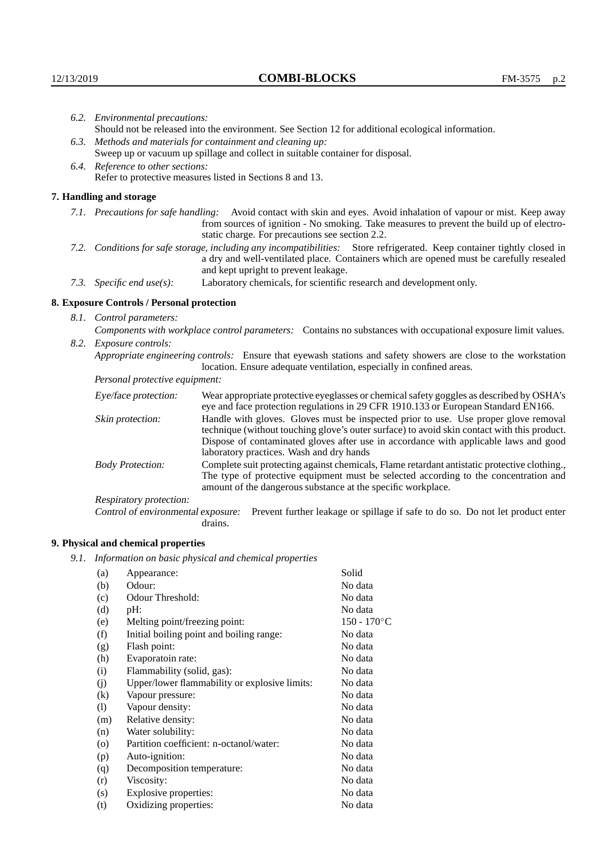|                                                                                                                         | 6.2. Environmental precautions:                                                                                                                                                        |                                                                                                                                                                                                                                                                            |  |  |  |
|-------------------------------------------------------------------------------------------------------------------------|----------------------------------------------------------------------------------------------------------------------------------------------------------------------------------------|----------------------------------------------------------------------------------------------------------------------------------------------------------------------------------------------------------------------------------------------------------------------------|--|--|--|
|                                                                                                                         | Should not be released into the environment. See Section 12 for additional ecological information.                                                                                     |                                                                                                                                                                                                                                                                            |  |  |  |
| 6.3. Methods and materials for containment and cleaning up:                                                             |                                                                                                                                                                                        |                                                                                                                                                                                                                                                                            |  |  |  |
|                                                                                                                         | Sweep up or vacuum up spillage and collect in suitable container for disposal.                                                                                                         |                                                                                                                                                                                                                                                                            |  |  |  |
| 6.4. Reference to other sections:                                                                                       |                                                                                                                                                                                        |                                                                                                                                                                                                                                                                            |  |  |  |
|                                                                                                                         |                                                                                                                                                                                        | Refer to protective measures listed in Sections 8 and 13.                                                                                                                                                                                                                  |  |  |  |
|                                                                                                                         | 7. Handling and storage                                                                                                                                                                |                                                                                                                                                                                                                                                                            |  |  |  |
|                                                                                                                         |                                                                                                                                                                                        | 7.1. Precautions for safe handling: Avoid contact with skin and eyes. Avoid inhalation of vapour or mist. Keep away<br>from sources of ignition - No smoking. Take measures to prevent the build up of electro-<br>static charge. For precautions see section 2.2.         |  |  |  |
| 7.2. Conditions for safe storage, including any incompatibilities: Store refrigerated. Keep container tightly closed in |                                                                                                                                                                                        | a dry and well-ventilated place. Containers which are opened must be carefully resealed<br>and kept upright to prevent leakage.                                                                                                                                            |  |  |  |
|                                                                                                                         | 7.3. Specific end use(s):                                                                                                                                                              | Laboratory chemicals, for scientific research and development only.                                                                                                                                                                                                        |  |  |  |
|                                                                                                                         | 8. Exposure Controls / Personal protection                                                                                                                                             |                                                                                                                                                                                                                                                                            |  |  |  |
|                                                                                                                         | 8.1. Control parameters:                                                                                                                                                               |                                                                                                                                                                                                                                                                            |  |  |  |
| Components with workplace control parameters: Contains no substances with occupational exposure limit values.           |                                                                                                                                                                                        |                                                                                                                                                                                                                                                                            |  |  |  |
|                                                                                                                         | 8.2. Exposure controls:                                                                                                                                                                |                                                                                                                                                                                                                                                                            |  |  |  |
|                                                                                                                         | Appropriate engineering controls: Ensure that eyewash stations and safety showers are close to the workstation<br>location. Ensure adequate ventilation, especially in confined areas. |                                                                                                                                                                                                                                                                            |  |  |  |
|                                                                                                                         | Personal protective equipment:                                                                                                                                                         |                                                                                                                                                                                                                                                                            |  |  |  |
|                                                                                                                         | Eye/face protection:                                                                                                                                                                   | Wear appropriate protective eyeglasses or chemical safety goggles as described by OSHA's<br>eye and face protection regulations in 29 CFR 1910.133 or European Standard EN166.                                                                                             |  |  |  |
|                                                                                                                         | Skin protection:                                                                                                                                                                       | Handle with gloves. Gloves must be inspected prior to use. Use proper glove removal<br>technique (without touching glove's outer surface) to avoid skin contact with this product.<br>Dispose of contaminated gloves after use in accordance with applicable laws and good |  |  |  |

laboratory practices. Wash and dry hands Body Protection: Complete suit protecting against chemicals, Flame retardant antistatic protective clothing., The type of protective equipment must be selected according to the concentration and amount of the dangerous substance at the specific workplace.

Respiratory protection:

Control of environmental exposure: Prevent further leakage or spillage if safe to do so. Do not let product enter drains.

# **9. Physical and chemical properties**

*9.1. Information on basic physical and chemical properties*

| (a)               | Appearance:                                   | Solid          |
|-------------------|-----------------------------------------------|----------------|
| (b)               | Odour:                                        | No data        |
| (c)               | Odour Threshold:                              | No data        |
| (d)               | $pH$ :                                        | No data        |
| (e)               | Melting point/freezing point:                 | $150 - 170$ °C |
| (f)               | Initial boiling point and boiling range:      | No data        |
| (g)               | Flash point:                                  | No data        |
| (h)               | Evaporatoin rate:                             | No data        |
| (i)               | Flammability (solid, gas):                    | No data        |
| (i)               | Upper/lower flammability or explosive limits: | No data        |
| $\left( k\right)$ | Vapour pressure:                              | No data        |
| (1)               | Vapour density:                               | No data        |
| (m)               | Relative density:                             | No data        |
| (n)               | Water solubility:                             | No data        |
| $\circ$           | Partition coefficient: n-octanol/water:       | No data        |
| (p)               | Auto-ignition:                                | No data        |
| (q)               | Decomposition temperature:                    | No data        |
| (r)               | Viscosity:                                    | No data        |
| (s)               | Explosive properties:                         | No data        |
| (t)               | Oxidizing properties:                         | No data        |
|                   |                                               |                |